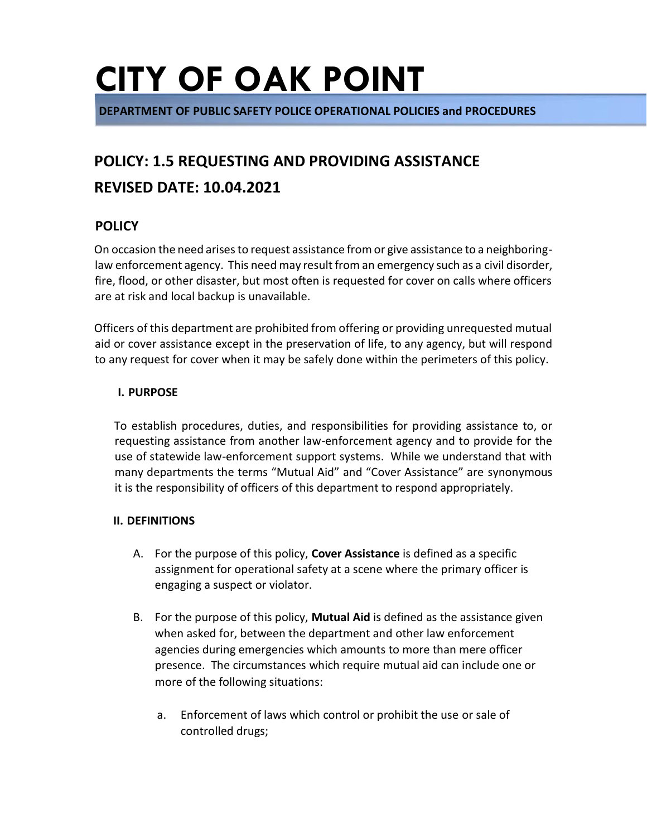**DEPARTMENT OF PUBLIC SAFETY POLICE OPERATIONAL POLICIES and PROCEDURES** 

### **POLICY: 1.5 REQUESTING AND PROVIDING ASSISTANCE REVISED DATE: 10.04.2021**

#### **POLICY**

On occasion the need arises to request assistance from or give assistance to a neighboringlaw enforcement agency. This need may result from an emergency such as a civil disorder, fire, flood, or other disaster, but most often is requested for cover on calls where officers are at risk and local backup is unavailable.

Officers of this department are prohibited from offering or providing unrequested mutual aid or cover assistance except in the preservation of life, to any agency, but will respond to any request for cover when it may be safely done within the perimeters of this policy.

#### **I. PURPOSE**

To establish procedures, duties, and responsibilities for providing assistance to, or requesting assistance from another law-enforcement agency and to provide for the use of statewide law-enforcement support systems. While we understand that with many departments the terms "Mutual Aid" and "Cover Assistance" are synonymous it is the responsibility of officers of this department to respond appropriately.

#### **II. DEFINITIONS**

- A. For the purpose of this policy, **Cover Assistance** is defined as a specific assignment for operational safety at a scene where the primary officer is engaging a suspect or violator.
- B. For the purpose of this policy, **Mutual Aid** is defined as the assistance given when asked for, between the department and other law enforcement agencies during emergencies which amounts to more than mere officer presence. The circumstances which require mutual aid can include one or more of the following situations:
	- a. Enforcement of laws which control or prohibit the use or sale of controlled drugs;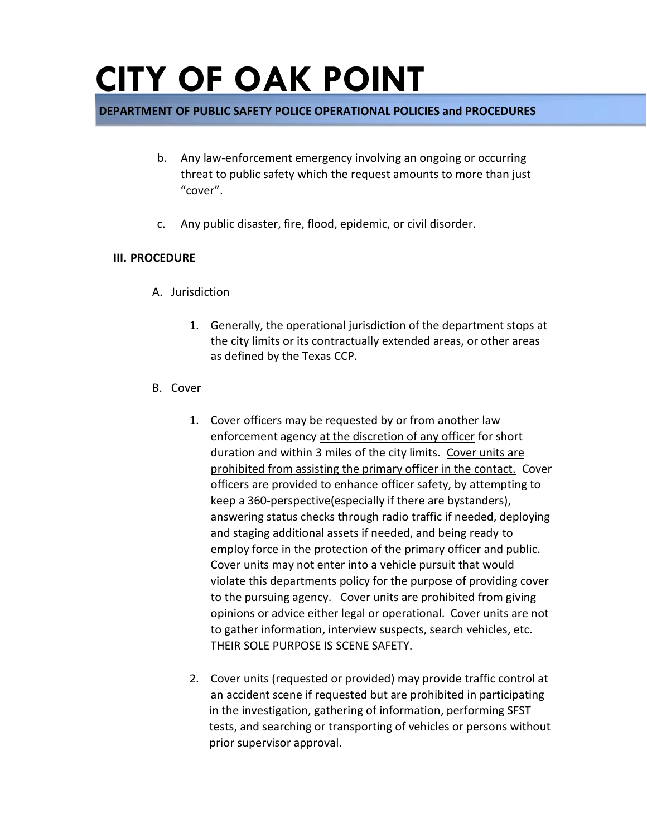#### **DEPARTMENT OF PUBLIC SAFETY POLICE OPERATIONAL POLICIES and PROCEDURES**

- b. Any law-enforcement emergency involving an ongoing or occurring threat to public safety which the request amounts to more than just "cover".
- c. Any public disaster, fire, flood, epidemic, or civil disorder.

#### **III. PROCEDURE**

- A. Jurisdiction
	- 1. Generally, the operational jurisdiction of the department stops at the city limits or its contractually extended areas, or other areas as defined by the Texas CCP.
- B. Cover
	- 1. Cover officers may be requested by or from another law enforcement agency at the discretion of any officer for short duration and within 3 miles of the city limits. Cover units are prohibited from assisting the primary officer in the contact. Cover officers are provided to enhance officer safety, by attempting to keep a 360-perspective(especially if there are bystanders), answering status checks through radio traffic if needed, deploying and staging additional assets if needed, and being ready to employ force in the protection of the primary officer and public. Cover units may not enter into a vehicle pursuit that would violate this departments policy for the purpose of providing cover to the pursuing agency. Cover units are prohibited from giving opinions or advice either legal or operational. Cover units are not to gather information, interview suspects, search vehicles, etc. THEIR SOLE PURPOSE IS SCENE SAFETY.
	- 2. Cover units (requested or provided) may provide traffic control at an accident scene if requested but are prohibited in participating in the investigation, gathering of information, performing SFST tests, and searching or transporting of vehicles or persons without prior supervisor approval.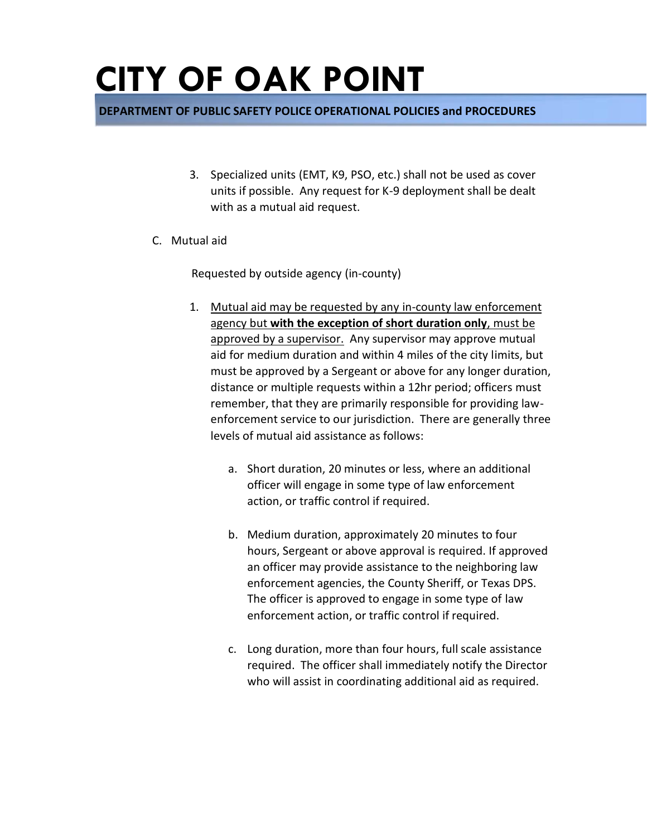**DEPARTMENT OF PUBLIC SAFETY POLICE OPERATIONAL POLICIES and PROCEDURES** 

- 3. Specialized units (EMT, K9, PSO, etc.) shall not be used as cover units if possible. Any request for K-9 deployment shall be dealt with as a mutual aid request.
- C. Mutual aid

Requested by outside agency (in-county)

- 1. Mutual aid may be requested by any in-county law enforcement agency but **with the exception of short duration only**, must be approved by a supervisor. Any supervisor may approve mutual aid for medium duration and within 4 miles of the city limits, but must be approved by a Sergeant or above for any longer duration, distance or multiple requests within a 12hr period; officers must remember, that they are primarily responsible for providing lawenforcement service to our jurisdiction. There are generally three levels of mutual aid assistance as follows:
	- a. Short duration, 20 minutes or less, where an additional officer will engage in some type of law enforcement action, or traffic control if required.
	- b. Medium duration, approximately 20 minutes to four hours, Sergeant or above approval is required. If approved an officer may provide assistance to the neighboring law enforcement agencies, the County Sheriff, or Texas DPS. The officer is approved to engage in some type of law enforcement action, or traffic control if required.
	- c. Long duration, more than four hours, full scale assistance required. The officer shall immediately notify the Director who will assist in coordinating additional aid as required.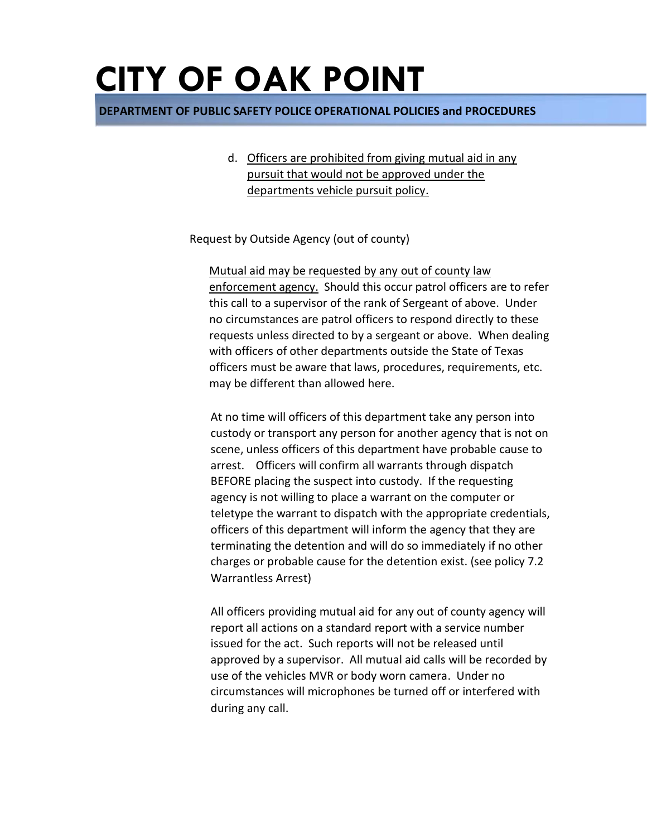**DEPARTMENT OF PUBLIC SAFETY POLICE OPERATIONAL POLICIES and PROCEDURES** 

d. Officers are prohibited from giving mutual aid in any pursuit that would not be approved under the departments vehicle pursuit policy.

Request by Outside Agency (out of county)

Mutual aid may be requested by any out of county law enforcement agency. Should this occur patrol officers are to refer this call to a supervisor of the rank of Sergeant of above. Under no circumstances are patrol officers to respond directly to these requests unless directed to by a sergeant or above. When dealing with officers of other departments outside the State of Texas officers must be aware that laws, procedures, requirements, etc. may be different than allowed here.

At no time will officers of this department take any person into custody or transport any person for another agency that is not on scene, unless officers of this department have probable cause to arrest. Officers will confirm all warrants through dispatch BEFORE placing the suspect into custody. If the requesting agency is not willing to place a warrant on the computer or teletype the warrant to dispatch with the appropriate credentials, officers of this department will inform the agency that they are terminating the detention and will do so immediately if no other charges or probable cause for the detention exist. (see policy 7.2 Warrantless Arrest)

All officers providing mutual aid for any out of county agency will report all actions on a standard report with a service number issued for the act. Such reports will not be released until approved by a supervisor. All mutual aid calls will be recorded by use of the vehicles MVR or body worn camera. Under no circumstances will microphones be turned off or interfered with during any call.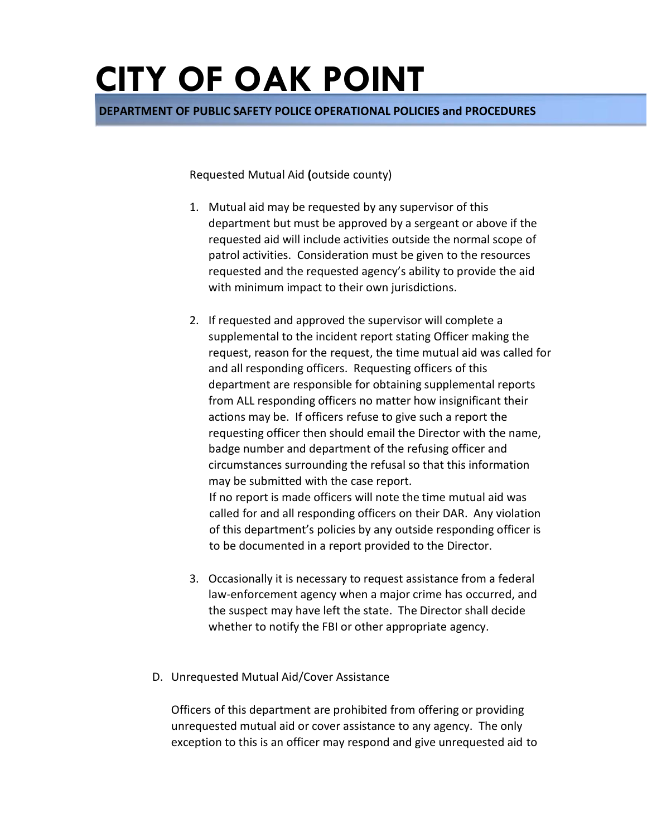**DEPARTMENT OF PUBLIC SAFETY POLICE OPERATIONAL POLICIES and PROCEDURES** 

Requested Mutual Aid **(**outside county)

- 1. Mutual aid may be requested by any supervisor of this department but must be approved by a sergeant or above if the requested aid will include activities outside the normal scope of patrol activities. Consideration must be given to the resources requested and the requested agency's ability to provide the aid with minimum impact to their own jurisdictions.
- 2. If requested and approved the supervisor will complete a supplemental to the incident report stating Officer making the request, reason for the request, the time mutual aid was called for and all responding officers. Requesting officers of this department are responsible for obtaining supplemental reports from ALL responding officers no matter how insignificant their actions may be. If officers refuse to give such a report the requesting officer then should email the Director with the name, badge number and department of the refusing officer and circumstances surrounding the refusal so that this information may be submitted with the case report. If no report is made officers will note the time mutual aid was

called for and all responding officers on their DAR. Any violation of this department's policies by any outside responding officer is to be documented in a report provided to the Director.

- 3. Occasionally it is necessary to request assistance from a federal law-enforcement agency when a major crime has occurred, and the suspect may have left the state. The Director shall decide whether to notify the FBI or other appropriate agency.
- D. Unrequested Mutual Aid/Cover Assistance

Officers of this department are prohibited from offering or providing unrequested mutual aid or cover assistance to any agency. The only exception to this is an officer may respond and give unrequested aid to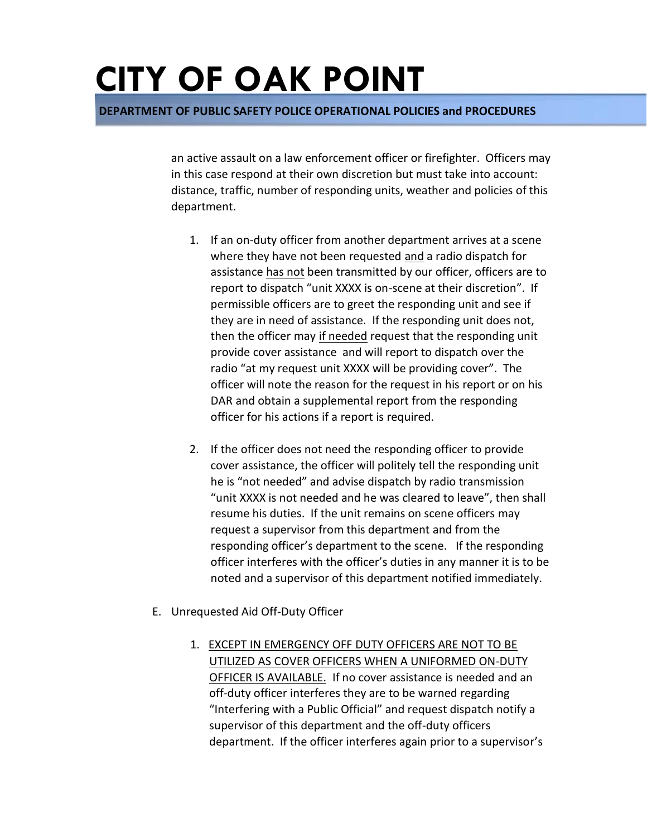**DEPARTMENT OF PUBLIC SAFETY POLICE OPERATIONAL POLICIES and PROCEDURES** 

an active assault on a law enforcement officer or firefighter. Officers may in this case respond at their own discretion but must take into account: distance, traffic, number of responding units, weather and policies of this department.

- 1. If an on-duty officer from another department arrives at a scene where they have not been requested and a radio dispatch for assistance has not been transmitted by our officer, officers are to report to dispatch "unit XXXX is on-scene at their discretion". If permissible officers are to greet the responding unit and see if they are in need of assistance. If the responding unit does not, then the officer may if needed request that the responding unit provide cover assistance and will report to dispatch over the radio "at my request unit XXXX will be providing cover". The officer will note the reason for the request in his report or on his DAR and obtain a supplemental report from the responding officer for his actions if a report is required.
- 2. If the officer does not need the responding officer to provide cover assistance, the officer will politely tell the responding unit he is "not needed" and advise dispatch by radio transmission "unit XXXX is not needed and he was cleared to leave", then shall resume his duties. If the unit remains on scene officers may request a supervisor from this department and from the responding officer's department to the scene. If the responding officer interferes with the officer's duties in any manner it is to be noted and a supervisor of this department notified immediately.
- E. Unrequested Aid Off-Duty Officer
	- 1. EXCEPT IN EMERGENCY OFF DUTY OFFICERS ARE NOT TO BE UTILIZED AS COVER OFFICERS WHEN A UNIFORMED ON-DUTY OFFICER IS AVAILABLE. If no cover assistance is needed and an off-duty officer interferes they are to be warned regarding "Interfering with a Public Official" and request dispatch notify a supervisor of this department and the off-duty officers department. If the officer interferes again prior to a supervisor's